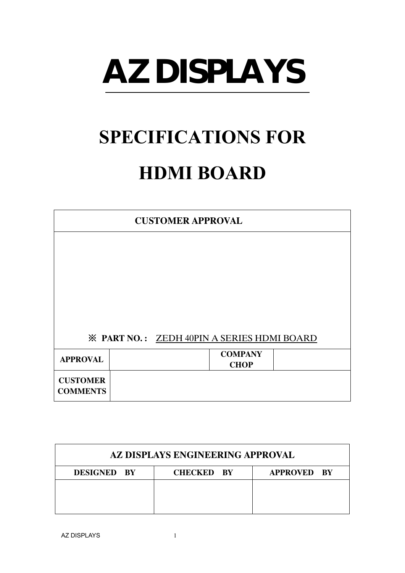# **AZ DISPLAYS**

## **SPECIFICATIONS FOR**

### **HDMI BOARD**

| <b>CUSTOMER APPROVAL</b>                          |  |  |                               |  |
|---------------------------------------------------|--|--|-------------------------------|--|
|                                                   |  |  |                               |  |
|                                                   |  |  |                               |  |
|                                                   |  |  |                               |  |
|                                                   |  |  |                               |  |
|                                                   |  |  |                               |  |
| <b>※ PART NO.: ZEDH 40PIN A SERIES HDMI BOARD</b> |  |  |                               |  |
| <b>APPROVAL</b>                                   |  |  | <b>COMPANY</b><br><b>CHOP</b> |  |
| <b>CUSTOMER</b>                                   |  |  |                               |  |
| <b>COMMENTS</b>                                   |  |  |                               |  |

| AZ DISPLAYS ENGINEERING APPROVAL |                   |                    |  |  |
|----------------------------------|-------------------|--------------------|--|--|
| <b>DESIGNED BY</b>               | <b>CHECKED BY</b> | <b>APPROVED BY</b> |  |  |
|                                  |                   |                    |  |  |
|                                  |                   |                    |  |  |
|                                  |                   |                    |  |  |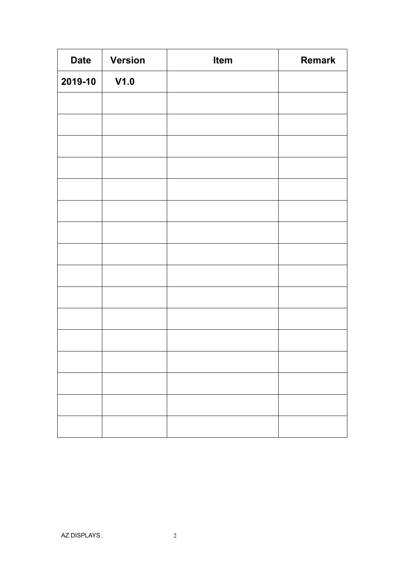| <b>Date</b> | <b>Version</b> | Item | <b>Remark</b> |
|-------------|----------------|------|---------------|
| 2019-10     | V1.0           |      |               |
|             |                |      |               |
|             |                |      |               |
|             |                |      |               |
|             |                |      |               |
|             |                |      |               |
|             |                |      |               |
|             |                |      |               |
|             |                |      |               |
|             |                |      |               |
|             |                |      |               |
|             |                |      |               |
|             |                |      |               |
|             |                |      |               |
|             |                |      |               |
|             |                |      |               |
|             |                |      |               |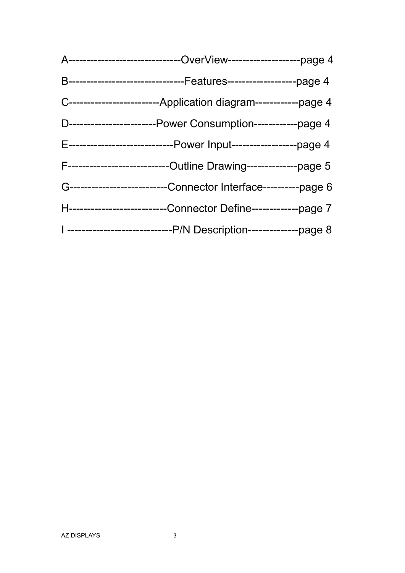| A------------------------------OverView---------------------page 4     |
|------------------------------------------------------------------------|
| B---------------------------------Features----------------------page 4 |
| C--------------------------Application diagram------------page 4       |
| D-------------------------Power Consumption------------page 4          |
| E------------------------------Power Input-------------------page 4    |
| F-----------------------------Outline Drawing---------------page 5     |
| G-----------------------------Connector Interface----------page 6      |
| H---------------------------Connector Define-------------page 7        |
| I ------------------------------P/N Description---------------page 8   |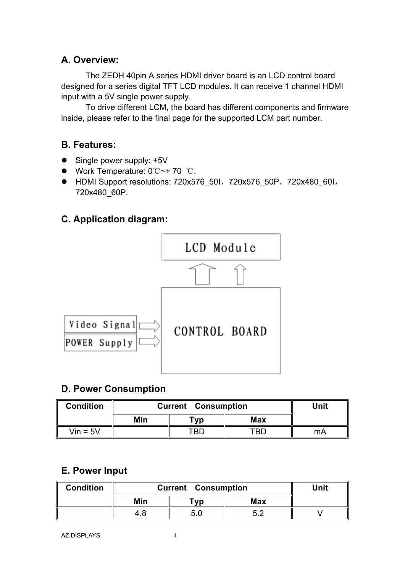#### **A. Overview:**

The ZEDH 40pin A series HDMI driver board is an LCD control board designed for a series digital TFT LCD modules. It can receive 1 channel HDMI input with a 5V single power supply.

To drive different LCM, the board has different components and firmware inside, please refer to the final page for the supported LCM part number.

#### **B. Features:**

- Single power supply: +5V
- Work Temperature: 0℃~+ 70 ℃.
- HDMI Support resolutions: 720x576\_50I, 720x576\_50P, 720x480\_60I, 720x480\_60P.

#### **C. Application diagram:**



#### **D. Power Consumption**

| <b>Condition</b> | <b>Current Consumption</b> |     |            | Unit |
|------------------|----------------------------|-----|------------|------|
|                  | Min                        | vp! | <b>Max</b> |      |
| $V$ in = 5 $V$   |                            | TRF | TRI        | mА   |

#### **E. Power Input**

| <b>Condition</b> | <b>Current Consumption</b> |     |     | Unit |
|------------------|----------------------------|-----|-----|------|
|                  | Min                        | vp! | Max |      |
|                  | 4.8                        |     | Γ0  |      |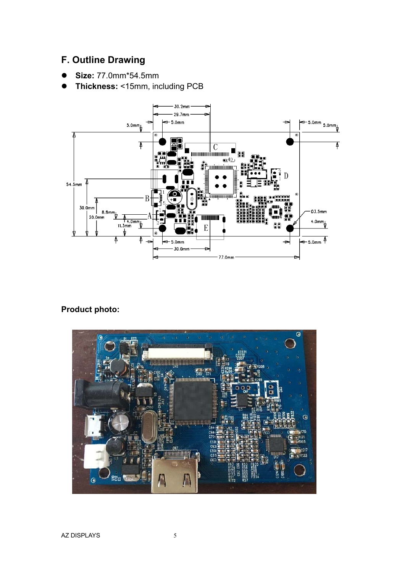#### **F. Outline Drawing**

- **Size:** 77.0mm\*54.5mm
- **Thickness:** <15mm, including PCB



#### **Product photo:**

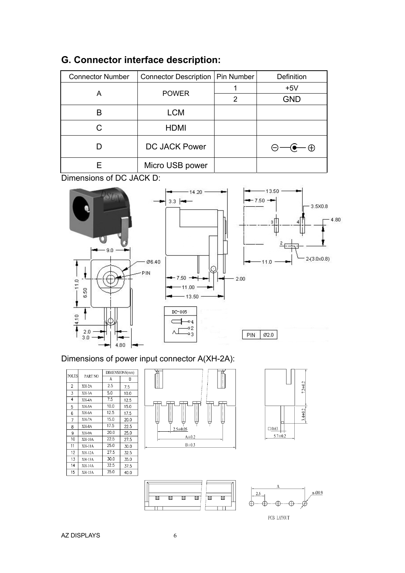| <b>Connector Number</b> | Connector Description | Pin Number | Definition      |
|-------------------------|-----------------------|------------|-----------------|
|                         |                       |            | $+5V$           |
| Α                       | <b>POWER</b>          | 2          | <b>GND</b>      |
| B                       | <b>LCM</b>            |            |                 |
|                         | <b>HDMI</b>           |            |                 |
|                         | <b>DC JACK Power</b>  |            | - ⊕<br>$\Theta$ |
|                         | Micro USB power       |            |                 |

#### **G. Connector interface description:**

Dimensions of DC JACK D:



#### Dimensions of power input connector A(XH-2A):

| B<br>7.5<br>10.0<br>12.5 |
|--------------------------|
|                          |
|                          |
|                          |
|                          |
| 15.0                     |
| 17.5                     |
| 20.0                     |
| 22.5                     |
| 25.0                     |
| 27.5                     |
| 30.0                     |
| 32.5                     |
| 35.0                     |
| 37.5                     |
| 40.0                     |
|                          |



面 回 叵





面 Ħ

Ħ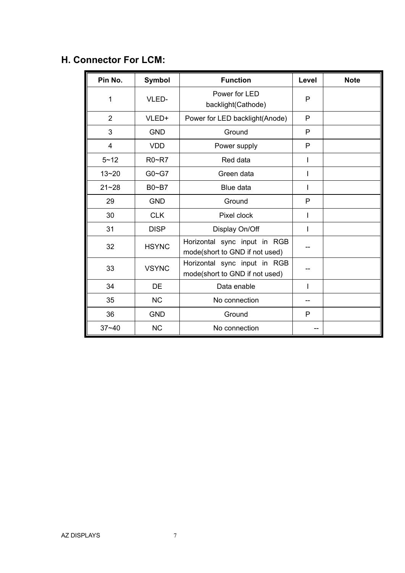#### **H. Connector For LCM:**

| Pin No.        | <b>Symbol</b> | <b>Function</b>                                                | Level | <b>Note</b> |
|----------------|---------------|----------------------------------------------------------------|-------|-------------|
| 1              | VLED-         | Power for LED<br>backlight(Cathode)                            | P     |             |
| $\overline{2}$ | VLED+         | Power for LED backlight(Anode)                                 | P     |             |
| 3              | <b>GND</b>    | Ground                                                         | P     |             |
| $\overline{4}$ | <b>VDD</b>    | Power supply                                                   | P     |             |
| $5 - 12$       | R0~R7         | Red data                                                       |       |             |
| $13 - 20$      | $G0 - G7$     | Green data                                                     |       |             |
| $21 - 28$      | $B0 - B7$     | Blue data                                                      | I     |             |
| 29             | <b>GND</b>    | Ground                                                         | P     |             |
| 30             | <b>CLK</b>    | Pixel clock                                                    |       |             |
| 31             | <b>DISP</b>   | Display On/Off                                                 |       |             |
| 32             | <b>HSYNC</b>  | Horizontal sync input in RGB<br>mode(short to GND if not used) |       |             |
| 33             | <b>VSYNC</b>  | Horizontal sync input in RGB<br>mode(short to GND if not used) |       |             |
| 34             | DE            | Data enable                                                    |       |             |
| 35             | <b>NC</b>     | No connection                                                  |       |             |
| 36             | <b>GND</b>    | Ground                                                         | P     |             |
| $37 - 40$      | <b>NC</b>     | No connection                                                  |       |             |